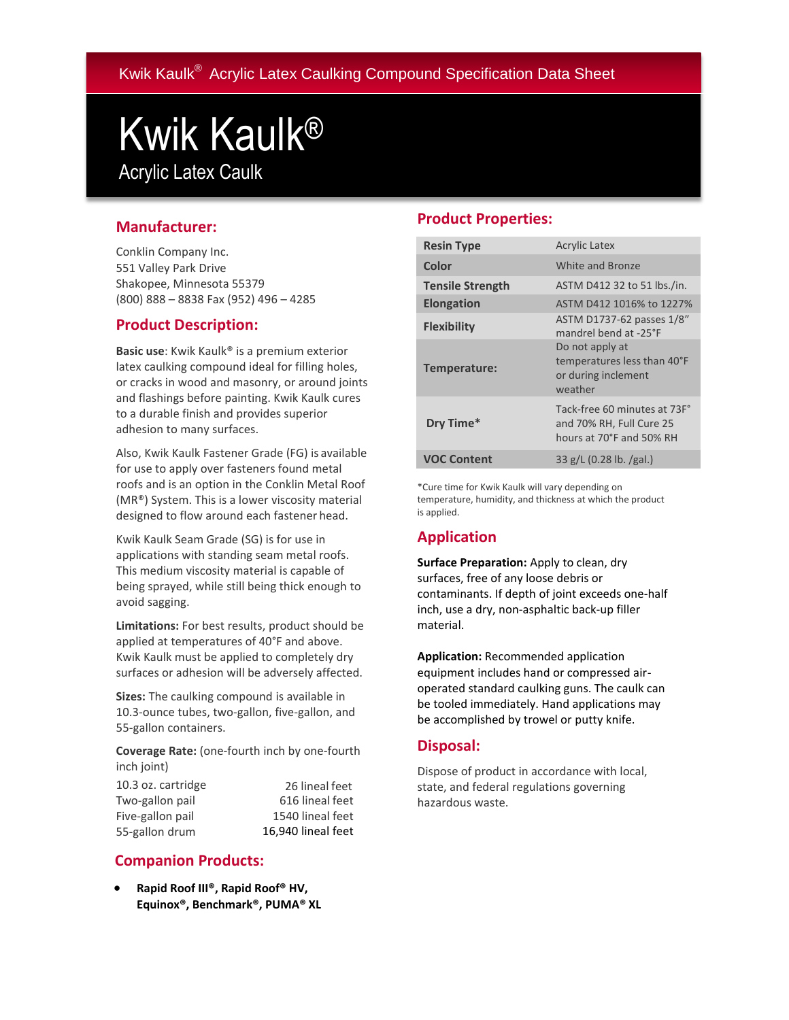Kwik Kaulk® Acrylic Latex Caulking Compound Specification Data Sheet

# Kwik Kaulk® Acrylic Latex Caulk

## **Manufacturer:**

Conklin Company Inc. 551 Valley Park Drive Shakopee, Minnesota 55379 (800) 888 – 8838 Fax (952) 496 – 4285

### **Product Description:**

**Basic use**: Kwik Kaulk® is a premium exterior latex caulking compound ideal for filling holes, or cracks in wood and masonry, or around joints and flashings before painting. Kwik Kaulk cures to a durable finish and provides superior adhesion to many surfaces.

Also, Kwik Kaulk Fastener Grade (FG) is available for use to apply over fasteners found metal roofs and is an option in the Conklin Metal Roof (MR®) System. This is a lower viscosity material designed to flow around each fastener head.

Kwik Kaulk Seam Grade (SG) is for use in applications with standing seam metal roofs. This medium viscosity material is capable of being sprayed, while still being thick enough to avoid sagging.

**Limitations:** For best results, product should be applied at temperatures of 40°F and above. Kwik Kaulk must be applied to completely dry surfaces or adhesion will be adversely affected.

**Sizes:** The caulking compound is available in 10.3-ounce tubes, two-gallon, five-gallon, and 55-gallon containers.

**Coverage Rate:** (one-fourth inch by one-fourth inch joint)

| 10.3 oz. cartridge | 26 lineal feet     |
|--------------------|--------------------|
| Two-gallon pail    | 616 lineal feet    |
| Five-gallon pail   | 1540 lineal feet   |
| 55-gallon drum     | 16.940 lineal feet |

# **Companion Products:**

 **Rapid Roof III®, Rapid Roof® HV, Equinox®, Benchmark®, PUMA® XL**

## **Product Properties:**

| <b>Resin Type</b>       | <b>Acrylic Latex</b>                                                                 |
|-------------------------|--------------------------------------------------------------------------------------|
| Color                   | White and Bronze                                                                     |
| <b>Tensile Strength</b> | ASTM D412 32 to 51 lbs./in.                                                          |
| <b>Elongation</b>       | ASTM D412 1016% to 1227%                                                             |
| <b>Flexibility</b>      | ASTM D1737-62 passes 1/8"<br>mandrel bend at -25°F                                   |
| Temperature:            | Do not apply at<br>temperatures less than 40°F<br>or during inclement<br>weather     |
| Dry Time*               | Tack-free 60 minutes at 73F°<br>and 70% RH, Full Cure 25<br>hours at 70°F and 50% RH |
| <b>VOC Content</b>      | $33$ g/L (0.28 lb. /gal.)                                                            |

\*Cure time for Kwik Kaulk will vary depending on temperature, humidity, and thickness at which the product is applied.

# **Application**

**Surface Preparation:** Apply to clean, dry surfaces, free of any loose debris or contaminants. If depth of joint exceeds one-half inch, use a dry, non-asphaltic back-up filler material.

**Application:** Recommended application equipment includes hand or compressed airoperated standard caulking guns. The caulk can be tooled immediately. Hand applications may be accomplished by trowel or putty knife.

#### **Disposal:**

Dispose of product in accordance with local, state, and federal regulations governing hazardous waste.